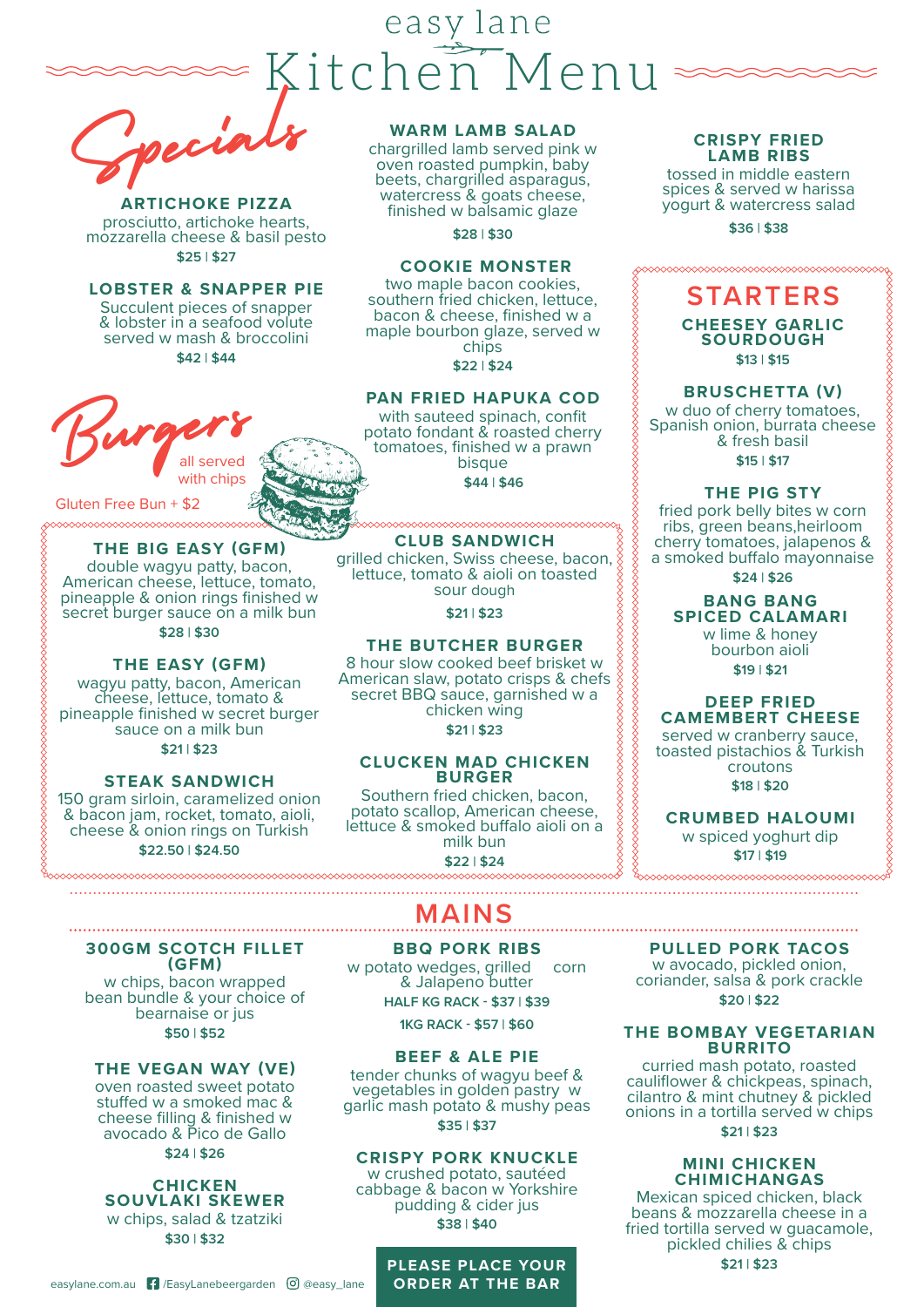# easy lane Kitchen Menu

Specials

**ARTICHOKE PIZZA**  prosciutto, artichoke hearts, mozzarella cheese & basil pesto **\$25 | \$27**

#### **LOBSTER & SNAPPER PIE** Succulent pieces of snapper & lobster in a seafood volute

served w mash & broccolini **\$42 | \$44**

with chips

**THE BIG EASY (GFM)** double wagyu patty, bacon, American cheese, lettuce, tomato, pineapple & onion rings finished w secret burger sauce on a milk bun **\$28 | \$30**

**THE EASY (GFM)** wagyu patty, bacon, American cheese, lettuce, tomato & pineapple finished w secret burger sauce on a milk bun **\$21 | \$23**

**STEAK SANDWICH**  150 gram sirloin, caramelized onion & bacon jam, rocket, tomato, aioli, cheese & onion rings on Turkish **\$22.50 | \$24.50**

Burgers

Gluten Free Bun + \$2

#### **WARM LAMB SALAD**

chargrilled lamb served pink w oven roasted pumpkin, baby beets, chargrilled asparagus, watercress & goats cheese, finished w balsamic glaze

**\$28 | \$30**

#### **COOKIE MONSTER**

two maple bacon cookies, southern fried chicken, lettuce, bacon & cheese, finished w a maple bourbon glaze, served w chips

**\$22 | \$24**

#### **PAN FRIED HAPUKA COD**

with sauteed spinach, confit potato fondant & roasted cherry tomatoes, finished w a prawn bisque **\$44 | \$46**

#### <u>www.www.www.ww</u>

**CLUB SANDWICH** grilled chicken, Swiss cheese, bacon, lettuce, tomato & aioli on toasted sour dough

**\$21 | \$23**

#### **THE BUTCHER BURGER**

8 hour slow cooked beef brisket w American slaw, potato crisps & chefs secret BBQ sauce, garnished w a chicken wing **\$21 | \$23**

#### **CLUCKEN MAD CHICKEN BURGER**

Southern fried chicken, bacon, potato scallop, American cheese, lettuce & smoked buffalo aioli on a milk bun **\$22 | \$24**

# **MAINS**

**300GM SCOTCH FILLET (GFM)**

w chips, bacon wrapped bean bundle & your choice of bearnaise or jus **\$50 | \$52**

#### **THE VEGAN WAY (VE)**

oven roasted sweet potato stuffed w a smoked mac & cheese filling & finished w avocado & Pico de Gallo **\$24 | \$26**

## **CHICKEN SOUVLAKI SKEWER**

w chips, salad & tzatziki **\$30 | \$32**

**BBQ PORK RIBS**  w potato wedges, grilled corn & Jalapeno butter **HALF KG RACK - \$37 | \$39**

**1KG RACK - \$57 | \$60**

#### **BEEF & ALE PIE**

tender chunks of wagyu beef & vegetables in golden pastry w garlic mash potato & mushy peas **\$35 | \$37**

#### **CRISPY PORK KNUCKLE**

w crushed potato, sautéed cabbage & bacon w Yorkshire pudding & cider jus **\$38 | \$40**

# **PLEASE PLACE YOUR**

#### **CRISPY FRIED LAMB RIBS**

tossed in middle eastern spices & served w harissa yogurt & watercress salad

**\$36 | \$38**



**\$13 | \$15**

#### **BRUSCHETTA (V)**

w duo of cherry tomatoes, Spanish onion, burrata cheese & fresh basil **\$15 | \$17**

#### **THE PIG STY**

fried pork belly bites w corn ribs, green beans,heirloom cherry tomatoes, jalapenos & a smoked buffalo mayonnaise

**\$24 | \$26**

#### **BANG BANG SPICED CALAMARI** w lime & honey bourbon aioli

**\$19 | \$21**

## **DEEP FRIED CAMEMBERT CHEESE**

served w cranberry sauce, toasted pistachios & Turkish croutons **\$18 | \$20**

**CRUMBED HALOUMI** w spiced yoghurt dip **\$17 | \$19**

#### **PULLED PORK TACOS** w avocado, pickled onion, coriander, salsa & pork crackle

**\$20 | \$22**

#### **THE BOMBAY VEGETARIAN BURRITO**

curried mash potato, roasted cauliflower & chickpeas, spinach, cilantro & mint chutney & pickled onions in a tortilla served w chips

### **\$21 | \$23**

#### **MINI CHICKEN CHIMICHANGAS**

Mexican spiced chicken, black beans & mozzarella cheese in a fried tortilla served w guacamole, pickled chilies & chips **\$21 | \$23**